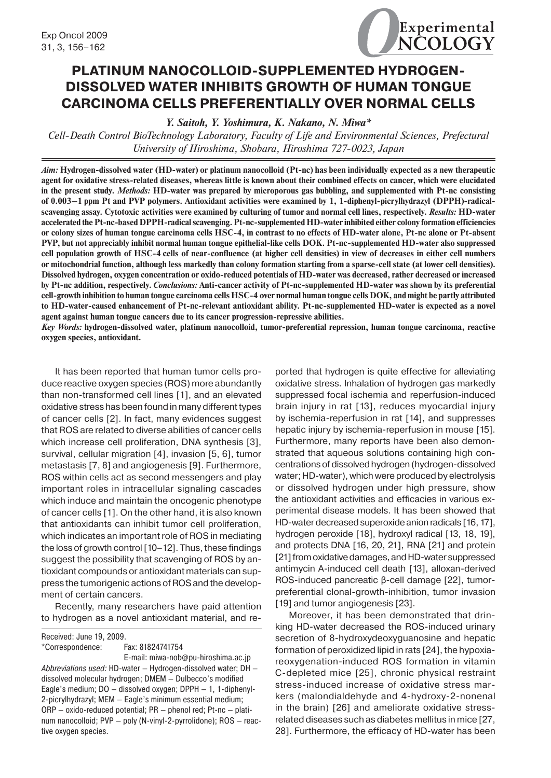

# **PLATINUM NANOCOLLOID-SUPPLEMENTED HYDROGEN-DISSOLVED WATER INHIBITS GROWTH OF HUMAN TONGUE CARCINOMA CELLS PREFERENTIALLY OVER NORMAL CELLS**

*Y. Saitoh, Y. Yoshimura, K. Nakano, N. Miwa\**

*Cell-Death Control BioTechnology Laboratory, Faculty of Life and Environmental Sciences, Prefectural University of Hiroshima, Shobara, Hiroshima 727-0023, Japan*

*Aim:* **Hydrogen-dissolved water (HD-water) or platinum nanocolloid (Pt-nc) has been individually expected as a new therapeutic agent for oxidative stress-related diseases, whereas little is known about their combined effects on cancer, which were elucidated in the present study.** *Methods:* **HD-water was prepared by microporous gas bubbling, and supplemented with Pt-nc consisting of 0.003–1 ppm Pt and PVP polymers. Antioxidant activities were examined by 1, 1-diphenyl-picrylhydrazyl (DPPH)-radicalscavenging assay. Cytotoxic activities were examined by culturing of tumor and normal cell lines, respectively.** *Results:* **HD-water accelerated thePt-nc-based DPPH-radical scavenging. Pt-nc-supplemented HD-water inhibited either colony formation efficiencies or colony sizes of human tongue carcinoma cells HSC-4, in contrast to no effects of HD-water alone, Pt-nc alone or Pt-absent PVP, but not appreciably inhibit normal human tongue epithelial-like cells DOK. Pt-nc-supplemented HD-water also suppressed cell population growth of HSC-4 cells of near-confluence (at higher cell densities) in view of decreases in either cell numbers or mitochondrial function, although less markedly than colony formation starting from a sparse-cell state (at lower cell densities). Dissolved hydrogen, oxygen concentration or oxido-reduced potentials of HD-water was decreased, rather decreased or increased by Pt-nc addition, respectively.** *Conclusions:* **Anti-cancer activity of Pt-nc-supplemented HD-water was shown by its preferential cell-growth inhibition to human tongue carcinoma cells HSC-4 over normal human tongue cells DOK, and might be partly attributed to HD-water-caused enhancement of Pt-nc-relevant antioxidant ability. Pt-nc-supplemented HD-water is expected as a novel agent against human tongue cancers due to its cancer progression-repressive abilities.**

*Key Words:* **hydrogen-dissolved water, platinum nanocolloid, tumor-preferential repression, human tongue carcinoma, reactive oxygen species, antioxidant.**

It has been reported that human tumor cells produce reactive oxygen species (ROS) more abundantly than non-transformed cell lines [1], and an elevated oxidative stress has been found in many different types of cancer cells [2]. In fact, many evidences suggest that ROS are related to diverse abilities of cancer cells which increase cell proliferation, DNA synthesis [3], survival, cellular migration [4], invasion [5, 6], tumor metastasis [7, 8] and angiogenesis [9]. Furthermore, ROS within cells act as second messengers and play important roles in intracellular signaling cascades which induce and maintain the oncogenic phenotype of cancer cells [1]. On the other hand, it is also known that antioxidants can inhibit tumor cell proliferation, which indicates an important role of ROS in mediating the loss of growth control [10–12]. Thus, these findings suggest the possibility that scavenging of ROS by antioxidant compounds or antioxidant materials can suppress the tumorigenic actions of ROS and the development of certain cancers.

Recently, many researchers have paid attention to hydrogen as a novel antioxidant material, and re-

Received: June 19, 2009. \*Correspondence: Fax: 81824741754 E-mail: miwa-nob@pu-hiroshima.ac.jp *Abbreviations used:* HD-water — Hydrogen-dissolved water; DH dissolved molecular hydrogen; DMEM — Dulbecco's modified Eagle's medium; DO — dissolved oxygen; DPPH — 1, 1-diphenyl-2-picrylhydrazyl; MEM — Eagle's minimum essential medium; ORP — oxido-reduced potential; PR — phenol red; Pt-nc — platinum nanocolloid; PVP — poly (N-vinyl-2-pyrrolidone); ROS — reactive oxygen species.

ported that hydrogen is quite effective for alleviating oxidative stress. Inhalation of hydrogen gas markedly suppressed focal ischemia and reperfusion-induced brain injury in rat [13], reduces myocardial injury by ischemia-reperfusion in rat [14], and suppresses hepatic injury by ischemia-reperfusion in mouse [15]. Furthermore, many reports have been also demonstrated that aqueous solutions containing high concentrations of dissolved hydrogen (hydrogen-dissolved water; HD-water), which were produced by electrolysis or dissolved hydrogen under high pressure, show the antioxidant activities and efficacies in various experimental disease models. It has been showed that HD-water decreased superoxide anion radicals [16, 17], hydrogen peroxide [18], hydroxyl radical [13, 18, 19], and protects DNA [16, 20, 21], RNA [21] and protein [21] from oxidative damages, and HD-water suppressed antimycin A-induced cell death [13], alloxan-derived ROS-induced pancreatic β-cell damage [22], tumorpreferential clonal-growth-inhibition, tumor invasion [19] and tumor angiogenesis [23].

Moreover, it has been demonstrated that drinking HD-water decreased the ROS-induced urinary secretion of 8-hydroxydeoxyguanosine and hepatic formation of peroxidized lipid in rats [24], the hypoxiareoxygenation-induced ROS formation in vitamin C-depleted mice [25], chronic physical restraint stress-induced increase of oxidative stress markers (malondialdehyde and 4-hydroxy-2-nonenal in the brain) [26] and ameliorate oxidative stressrelated diseases such as diabetes mellitus in mice [27, 28]. Furthermore, the efficacy of HD-water has been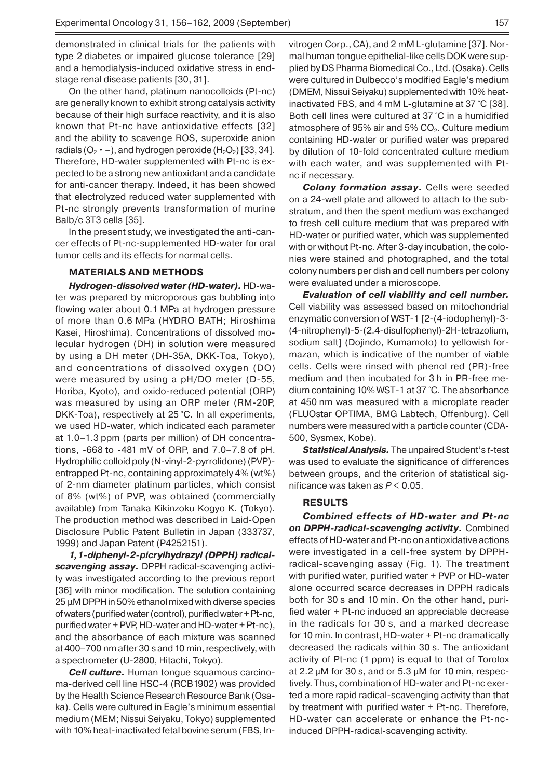demonstrated in clinical trials for the patients with type 2 diabetes or impaired glucose tolerance [29] and a hemodialysis-induced oxidative stress in endstage renal disease patients [30, 31].

On the other hand, platinum nanocolloids (Pt-nc) are generally known to exhibit strong catalysis activity because of their high surface reactivity, and it is also known that Pt-nc have antioxidative effects [32] and the ability to scavenge ROS, superoxide anion radials ( $O_2 \cdot -$ ), and hydrogen peroxide (H<sub>2</sub>O<sub>2</sub>) [33, 34]. Therefore, HD-water supplemented with Pt-nc is expected to be a strong new antioxidant and a candidate for anti-cancer therapy. Indeed, it has been showed that electrolyzed reduced water supplemented with Pt-nc strongly prevents transformation of murine Balb/c 3T3 cells [35].

In the present study, we investigated the anti-cancer effects of Pt-nc-supplemented HD-water for oral tumor cells and its effects for normal cells.

## **MATERIALS AND METHODS**

*Hydrogen-dissolved water (HD-water).* HD-water was prepared by microporous gas bubbling into flowing water about 0.1 MPa at hydrogen pressure of more than 0.6 MPa (HYDRO BATH; Hiroshima Kasei, Hiroshima). Concentrations of dissolved molecular hydrogen (DH) in solution were measured by using a DH meter (DH-35A, DKK-Toa, Tokyo), and concentrations of dissolved oxygen (DO) were measured by using a pH/DO meter (D-55, Horiba, Kyoto), and oxido-reduced potential (ORP) was measured by using an ORP meter (RM-20P, DKK-Toa), respectively at 25 °C. In all experiments, we used HD-water, which indicated each parameter at 1.0–1.3 ppm (parts per million) of DH concentrations, -668 to -481 mV of ORP, and 7.0–7.8 of pH. Hydrophilic colloid poly (N-vinyl-2-pyrrolidone) (PVP) entrapped Pt-nc, containing approximately 4% (wt%) of 2-nm diameter platinum particles, which consist of 8% (wt%) of PVP, was obtained (commercially available) from Tanaka Kikinzoku Kogyo K. (Tokyo). The production method was described in Laid-Open Disclosure Public Patent Bulletin in Japan (333737, 1999) and Japan Patent (P4252151).

*1,1-diphenyl-2-picrylhydrazyl (DPPH) radicalscavenging assay.* DPPH radical-scavenging activity was investigated according to the previous report [36] with minor modification. The solution containing 25  $\mu$ M DPPH in 50% ethanol mixed with diverse species ofwaters (purified water (control), purified water + Pt-nc, purified water + PVP, HD-water and HD-water + Pt-nc), and the absorbance of each mixture was scanned at 400–700 nm after 30 s and 10 min, respectively, with a spectrometer (U-2800, Hitachi, Tokyo).

*Cell culture.* Human tongue squamous carcinoma-derived cell line HSC-4 (RCB1902) was provided by the Health Science Research Resource Bank (Osaka). Cells were cultured in Eagle's minimum essential medium (MEM; Nissui Seiyaku, Tokyo) supplemented with 10% heat-inactivated fetal bovine serum (FBS, Invitrogen Corp., CA), and 2 mM L-glutamine [37]. Normal human tongue epithelial-like cells DOK were supplied by DSPharma Biomedical Co., Ltd. (Osaka). Cells were cultured in Dulbecco's modified Eagle's medium (DMEM, Nissui Seiyaku) supplemented with 10% heatinactivated FBS, and 4 mM L-glutamine at 37 °C [38]. Both cell lines were cultured at 37 °C in a humidified atmosphere of 95% air and 5%  $CO<sub>2</sub>$ . Culture medium containing HD-water or purified water was prepared by dilution of 10-fold concentrated culture medium with each water, and was supplemented with Ptnc if necessary.

*Colony formation assay.* Cells were seeded on a 24-well plate and allowed to attach to the substratum, and then the spent medium was exchanged to fresh cell culture medium that was prepared with HD-water or purified water, which was supplemented with or without Pt-nc. After 3-day incubation, the colonies were stained and photographed, and the total colony numbers per dish and cell numbers per colony were evaluated under a microscope.

*Evaluation of cell viability and cell number.* Cell viability was assessed based on mitochondrial enzymatic conversion of WST-1 [2-(4-iodophenyl)-3- (4-nitrophenyl)-5-(2.4-disulfophenyl)-2H-tetrazolium, sodium salt] (Dojindo, Kumamoto) to yellowish formazan, which is indicative of the number of viable cells. Cells were rinsed with phenol red (PR)-free medium and then incubated for 3 h in PR-free medium containing 10% WST-1 at 37 °C. The absorbance at 450 nm was measured with a microplate reader (FLUOstar OPTIMA, BMG Labtech, Offenburg). Cell numbers were measured with a particle counter (CDA-500, Sysmex, Kobe).

*Statistical Analysis.* The unpaired Student's *t*-test was used to evaluate the significance of differences between groups, and the criterion of statistical significance was taken as *P* < 0.05.

#### **RESULTS**

*Combined effects of HD-water and Pt-nc on DPPH-radical-scavenging activity.* Combined effects of HD-water and Pt-nc on antioxidative actions were investigated in a cell-free system by DPPHradical-scavenging assay (Fig. 1). The treatment with purified water, purified water + PVP or HD-water alone occurred scarce decreases in DPPH radicals both for 30 s and 10 min. On the other hand, purified water + Pt-nc induced an appreciable decrease in the radicals for 30 s, and a marked decrease for 10 min. In contrast, HD-water + Pt-nc dramatically decreased the radicals within 30 s. The antioxidant activity of Pt-nc (1 ppm) is equal to that of Torolox at 2.2 μM for 30 s, and or 5.3 μM for 10 min, respectively. Thus, combination of HD-water and Pt-nc exerted a more rapid radical-scavenging activity than that by treatment with purified water + Pt-nc. Therefore, HD-water can accelerate or enhance the Pt-ncinduced DPPH-radical-scavenging activity.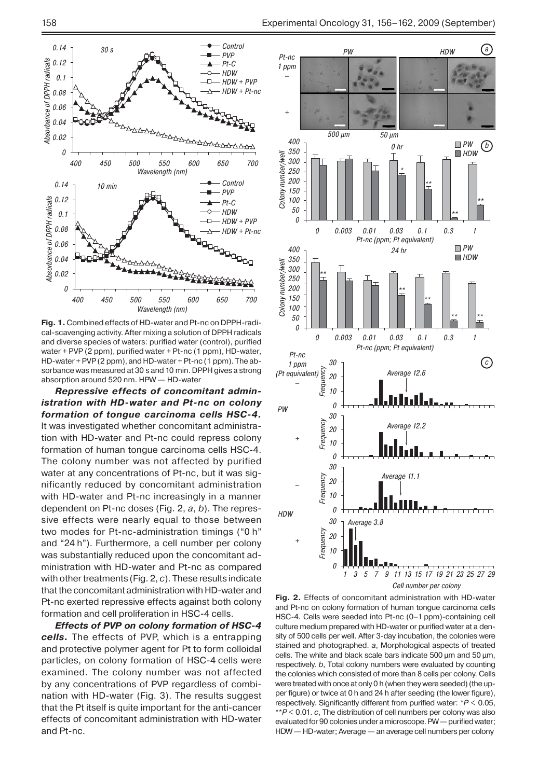

**Fig. 1.** Combined effects of HD-water and Pt-nc on DPPH-radical-scavenging activity. After mixing a solution of DPPH radicals and diverse species of waters: purified water (control), purified water + PVP (2 ppm), purified water + Pt-nc (1 ppm), HD-water, HD-water + PVP(2 ppm), and HD-water + Pt-nc (1 ppm). The absorbance was measured at 30 s and 10 min. DPPH gives a strong absorption around 520 nm. HPW — HD-water

*Repressive effects of concomitant administration with HD-water and Pt-nc on colony formation of tongue carcinoma cells HSC-4.* It was investigated whether concomitant administration with HD-water and Pt-nc could repress colony formation of human tongue carcinoma cells HSC-4. The colony number was not affected by purified water at any concentrations of Pt-nc, but it was significantly reduced by concomitant administration with HD-water and Pt-nc increasingly in a manner dependent on Pt-nc doses (Fig. 2, *a*, *b*). The repressive effects were nearly equal to those between two modes for Pt-nc-administration timings ("0 h" and "24 h"). Furthermore, a cell number per colony was substantially reduced upon the concomitant administration with HD-water and Pt-nc as compared with other treatments (Fig. 2, *c*). These results indicate that the concomitant administration with HD-water and Pt-nc exerted repressive effects against both colony formation and cell proliferation in HSC-4 cells.

*Effects of PVP on colony formation of HSC-4 cells.* The effects of PVP, which is a entrapping and protective polymer agent for Pt to form colloidal particles, on colony formation of HSC-4 cells were examined. The colony number was not affected by any concentrations of PVP regardless of combination with HD-water (Fig. 3). The results suggest that the Pt itself is quite important for the anti-cancer effects of concomitant administration with HD-water and Pt-nc.



**Fig. 2.** Effects of concomitant administration with HD-water and Pt-nc on colony formation of human tongue carcinoma cells HSC-4. Cells were seeded into Pt-nc (0–1 ppm)-containing cell culture medium prepared with HD-water or purified water at a density of 500 cells per well. After 3-day incubation, the colonies were stained and photographed. *a*, Morphological aspects of treated cells. The white and black scale bars indicate 500 µm and 50 µm, respectively. *b*, Total colony numbers were evaluated by counting the colonies which consisted of more than 8 cells per colony. Cells were treated with once at only 0 h (when they were seeded) (the upper figure) or twice at 0 h and 24 h after seeding (the lower figure), respectively. Significantly different from purified water: \**P* < 0.05, \*\**P* < 0.01. *c*, The distribution of cell numbers per colony was also evaluated for90 colonies under amicroscope. PW— purified water; HDW — HD-water; Average — an average cell numbers per colony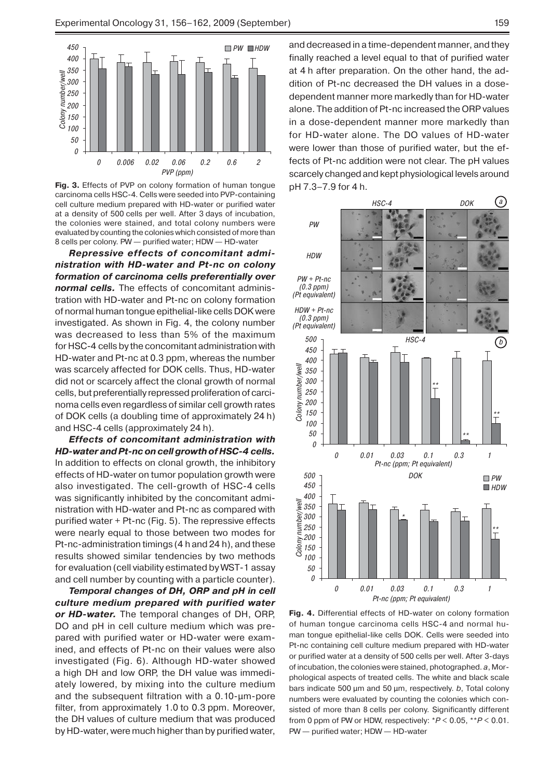

**Fig. 3.** Effects of PVP on colony formation of human tongue carcinoma cells HSC-4. Cells were seeded into PVP-containing cell culture medium prepared with HD-water or purified water at a density of 500 cells per well. After 3 days of incubation, the colonies were stained, and total colony numbers were evaluated by counting the colonies which consisted of more than 8 cells per colony. PW — purified water; HDW — HD-water

*Repressive effects of concomitant administration with HD-water and Pt-nc on colony formation of carcinoma cells preferentially over normal cells.* The effects of concomitant administration with HD-water and Pt-nc on colony formation of normal human tongue epithelial-like cells DOK were investigated. As shown in Fig. 4, the colony number was decreased to less than 5% of the maximum for HSC-4 cells by the concomitant administration with HD-water and Pt-nc at 0.3 ppm, whereas the number was scarcely affected for DOK cells. Thus, HD-water did not or scarcely affect the clonal growth of normal cells, but preferentially repressed proliferation of carcinoma cells even regardless of similar cell growth rates of DOK cells (a doubling time of approximately 24 h) and HSC-4 cells (approximately 24 h).

*Effects of concomitant administration with HD-water andPt-nc on cell growth of HSC-4 cells.*  In addition to effects on clonal growth, the inhibitory effects of HD-water on tumor population growth were also investigated. The cell-growth of HSC-4 cells was significantly inhibited by the concomitant administration with HD-water and Pt-nc as compared with purified water + Pt-nc (Fig. 5). The repressive effects were nearly equal to those between two modes for Pt-nc-administration timings (4 h and 24 h), and these results showed similar tendencies by two methods for evaluation (cell viability estimated by WST-1 assay and cell number by counting with a particle counter).

*Temporal changes of DH, ORP and pH in cell culture medium prepared with purified water or HD-water.* The temporal changes of DH, ORP, DO and pH in cell culture medium which was prepared with purified water or HD-water were examined, and effects of Pt-nc on their values were also investigated (Fig. 6). Although HD-water showed a high DH and low ORP, the DH value was immediately lowered, by mixing into the culture medium and the subsequent filtration with a 0.10-μm-pore filter, from approximately 1.0 to 0.3 ppm. Moreover, the DH values of culture medium that was produced by HD-water, were much higher than by purified water,

and decreased in a time-dependent manner, and they finally reached a level equal to that of purified water at 4 h after preparation. On the other hand, the addition of Pt-nc decreased the DH values in a dosedependent manner more markedly than for HD-water alone. The addition of Pt-nc increased the ORP values in a dose-dependent manner more markedly than for HD-water alone. The DO values of HD-water were lower than those of purified water, but the effects of Pt-nc addition were not clear. The pH values scarcely changed and kept physiological levels around pH 7.3–7.9 for 4 h.



**Fig. 4.** Differential effects of HD-water on colony formation of human tongue carcinoma cells HSC-4 and normal human tongue epithelial-like cells DOK. Cells were seeded into Pt-nc containing cell culture medium prepared with HD-water or purified water at a density of 500 cells per well. After 3-days of incubation, the colonies were stained, photographed. *a*, Morphological aspects of treated cells. The white and black scale bars indicate 500 µm and 50 µm, respectively. *b*, Total colony numbers were evaluated by counting the colonies which consisted of more than 8 cells per colony. Significantly different from 0 ppm of PW or HDW, respectively: \**P* < 0.05, \*\**P* < 0.01. PW — purified water; HDW — HD-water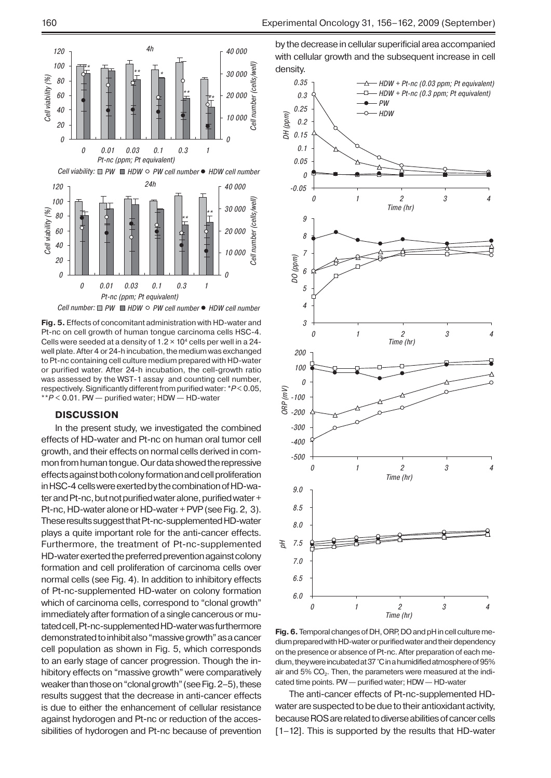

**Fig. 5.** Effects of concomitant administration with HD-water and Pt-nc on cell growth of human tongue carcinoma cells HSC-4. Cells were seeded at a density of  $1.2 \times 10^4$  cells per well in a 24well plate. After 4 or 24-h incubation, the medium was exchanged to Pt-nc containing cell culture medium prepared with HD-water or purified water. After 24-h incubation, the cell-growth ratio was assessed by the WST-1 assay and counting cell number, respectively. Significantly different from purified water: \**P*< 0.05, \*\**P* < 0.01. PW — purified water; HDW — HD-water

## **DISCUSSION**

In the present study, we investigated the combined effects of HD-water and Pt-nc on human oral tumor cell growth, and their effects on normal cells derived in common from human tongue. Our data showed the repressive effects against both colony formation andcell proliferation inHSC-4 cells were exerted bythecombination of HD-water and Pt-nc, but not purified water alone, purified water + Pt-nc, HD-water alone or HD-water + PVP (see Fig. 2, 3). These results suggest that Pt-nc-supplemented HD-water plays a quite important role for the anti-cancer effects. Furthermore, the treatment of Pt-nc-supplemented HD-water exerted the preferred prevention against colony formation and cell proliferation of carcinoma cells over normal cells (see Fig. 4). In addition to inhibitory effects of Pt-nc-supplemented HD-water on colony formation which of carcinoma cells, correspond to "clonal growth" immediately after formation of a single cancerous or mutated cell, Pt-nc-supplemented HD-water wasfurthermore demonstrated toinhibit also "massive growth" asacancer cell population as shown in Fig. 5, which corresponds to an early stage of cancer progression. Though the inhibitory effects on "massive growth" were comparatively weaker than those on"clonal growth" (seeFig.2–5), these results suggest that the decrease in anti-cancer effects is due to either the enhancement of cellular resistance against hydorogen and Pt-nc or reduction of the accessibilities of hydorogen and Pt-nc because of prevention by the decrease in cellular superificial area accompanied with cellular growth and the subsequent increase in cell density.



**Fig. 6.** Temporal changes ofDH, ORP, DOandpHincell culture medium prepared with HD-water or purified water and their dependency on the presence or absence of Pt-nc. After preparation of each medium, they were incubated at 37 °C in a humidified atmosphere of 95% air and 5% CO<sub>2</sub>. Then, the parameters were measured at the indicated time points. PW — purified water; HDW — HD-water

The anti-cancer effects of Pt-nc-supplemented HDwater are suspected to be due to their antioxidant activity, because ROS are related to diverse abilities of cancer cells [1–12]. This is supported by the results that HD-water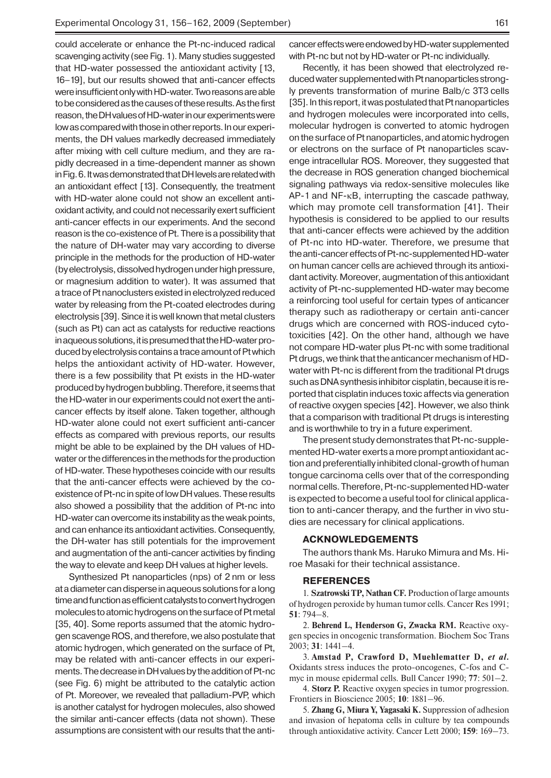could accelerate or enhance the Pt-nc-induced radical scavenging activity (see Fig. 1). Many studies suggested that HD-water possessed the antioxidant activity [13, 16–19], but our results showed that anti-cancer effects were insufficient only with HD-water. Tworeasons areable to be considered as the causes of these results. As the first reason, the DH values of HD-water in our experiments were low as compared with those in other reports. In our experiments, the DH values markedly decreased immediately after mixing with cell culture medium, and they are rapidly decreased in a time-dependent manner as shown inFig.6. Itwasdemonstrated that DHlevels arerelated with an antioxidant effect [13]. Consequently, the treatment with HD-water alone could not show an excellent antioxidant activity, and could not necessarily exert sufficient anti-cancer effects in our experiments. And the second reason is the co-existence of Pt. There is a possibility that the nature of DH-water may vary according to diverse principle in the methods for the production of HD-water (byelectrolysis, dissolved hydrogen under high pressure, or magnesium addition to water). It was assumed that a trace of Pt nanoclusters existed in electrolyzed reduced water by releasing from the Pt-coated electrodes during electrolysis [39]. Since it is well known that metal clusters (such as Pt) can act as catalysts for reductive reactions in aqueous solutions, it is presumed that the HD-water produced by electrolysis contains a trace amount of Pt which helps the antioxidant activity of HD-water. However, there is a few possibility that Pt exists in the HD-water produced by hydrogen bubbling. Therefore, it seems that the HD-water in our experiments could not exert the anticancer effects by itself alone. Taken together, although HD-water alone could not exert sufficient anti-cancer effects as compared with previous reports, our results might be able to be explained by the DH values of HDwater or the differences in the methods for the production of HD-water. These hypotheses coincide with our results that the anti-cancer effects were achieved by the coexistence of Pt-nc in spite of low DH values. These results also showed a possibility that the addition of Pt-nc into HD-water can overcome its instability as the weak points, and can enhance its antioxidant activities. Consequently, the DH-water has still potentials for the improvement and augmentation of the anti-cancer activities by finding the way to elevate and keep DH values at higher levels.

Synthesized Pt nanoparticles (nps) of 2 nm or less atadiameter candisperse inaqueous solutions foralong time and function as efficient catalysts to convert hydrogen molecules to atomic hydrogens on the surface of Pt metal [35, 40]. Some reports assumed that the atomic hydrogen scavenge ROS, and therefore, we also postulate that atomic hydrogen, which generated on the surface of Pt, may be related with anti-cancer effects in our experiments. The decrease in DH values by the addition of Pt-nc (see Fig. 6) might be attributed to the catalytic action of Pt. Moreover, we revealed that palladium-PVP, which is another catalyst for hydrogen molecules, also showed the similar anti-cancer effects (data not shown). These assumptions are consistent with our results that the anticancer effects were endowed byHD-water supplemented with Pt-nc but not by HD-water or Pt-nc individually.

Recently, it has been showed that electrolyzed reduced water supplemented with Pt nanoparticles strongly prevents transformation of murine Balb/c 3T3 cells [35]. In this report, it was postulated that Pt nanoparticles and hydrogen molecules were incorporated into cells, molecular hydrogen is converted to atomic hydrogen on the surface of Pt nanoparticles, and atomic hydrogen or electrons on the surface of Pt nanoparticles scavenge intracellular ROS. Moreover, they suggested that the decrease in ROS generation changed biochemical signaling pathways via redox-sensitive molecules like AP-1 and NF-κB, interrupting the cascade pathway, which may promote cell transformation [41]. Their hypothesis is considered to be applied to our results that anti-cancer effects were achieved by the addition of Pt-nc into HD-water. Therefore, we presume that the anti-cancer effects of Pt-nc-supplemented HD-water on human cancer cells are achieved through its antioxidant activity. Moreover, augmentation of this antioxidant activity of Pt-nc-supplemented HD-water may become a reinforcing tool useful for certain types of anticancer therapy such as radiotherapy or certain anti-cancer drugs which are concerned with ROS-induced cytotoxicities [42]. On the other hand, although we have not compare HD-water plus Pt-nc with some traditional Pt drugs, we think that the anticancer mechanism of HDwater with Pt-nc is different from the traditional Pt drugs such as DNA synthesis inhibitor cisplatin, because it is reported that cisplatin induces toxic affects via generation ofreactive oxygen species [42]. However, we also think that a comparison with traditional Pt drugs is interesting and is worthwhile to try in a future experiment.

The present study demonstrates that Pt-nc-supplemented HD-water exerts a more prompt antioxidant action and preferentially inhibited clonal-growth of human tongue carcinoma cells over that of the corresponding normal cells. Therefore, Pt-nc-supplemented HD-water is expected to become a useful tool for clinical application to anti-cancer therapy, and the further in vivo studies are necessary for clinical applications.

#### **ACKNOWLEDGEMENTS**

The authors thank Ms. Haruko Mimura and Ms. Hiroe Masaki for their technical assistance.

#### **REFERENCES**

1. **Szatrowski TP, Nathan CF.** Production of large amounts of hydrogen peroxide by human tumor cells. Cancer Res 1991; **51**: 794–8.

2. **Behrend L, Henderson G, Zwacka RM.** Reactive oxygen species in oncogenic transformation. Biochem Soc Trans 2003; **31**: 1441–4.

3. **Amstad P, Crawford D, Muehlematter D,** *et al.* Oxidants stress induces the proto-oncogenes, C-fos and Cmyc in mouse epidermal cells. Bull Cancer 1990; **77**: 501–2.

4. Storz P. Reactive oxygen species in tumor progression. Frontiers in Bioscience 2005; **10**: 1881–96.

5. **Zhang G, Miura Y, Yagasaki K.** Suppression of adhesion and invasion of hepatoma cells in culture by tea compounds through antioxidative activity. Cancer Lett 2000; **159**: 169–73.